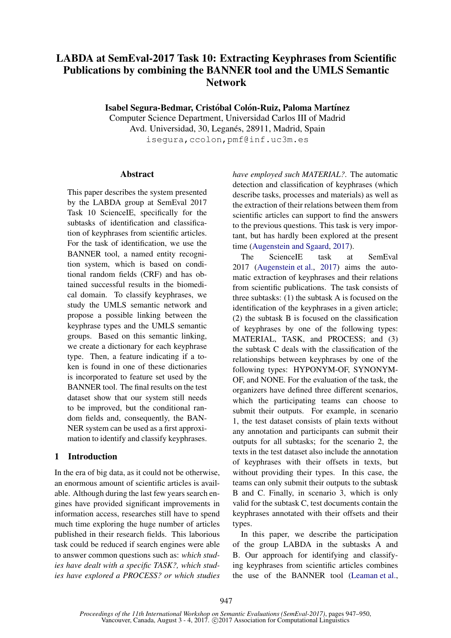# LABDA at SemEval-2017 Task 10: Extracting Keyphrases from Scientific Publications by combining the BANNER tool and the UMLS Semantic Network

Isabel Segura-Bedmar, Cristóbal Colón-Ruiz, Paloma Martínez

Computer Science Department, Universidad Carlos III of Madrid Avd. Universidad, 30, Leganés, 28911, Madrid, Spain isegura,ccolon,pmf@inf.uc3m.es

#### Abstract

This paper describes the system presented by the LABDA group at SemEval 2017 Task 10 ScienceIE, specifically for the subtasks of identification and classification of keyphrases from scientific articles. For the task of identification, we use the BANNER tool, a named entity recognition system, which is based on conditional random fields (CRF) and has obtained successful results in the biomedical domain. To classify keyphrases, we study the UMLS semantic network and propose a possible linking between the keyphrase types and the UMLS semantic groups. Based on this semantic linking, we create a dictionary for each keyphrase type. Then, a feature indicating if a token is found in one of these dictionaries is incorporated to feature set used by the BANNER tool. The final results on the test dataset show that our system still needs to be improved, but the conditional random fields and, consequently, the BAN-NER system can be used as a first approximation to identify and classify keyphrases.

#### 1 Introduction

In the era of big data, as it could not be otherwise, an enormous amount of scientific articles is available. Although during the last few years search engines have provided significant improvements in information access, researches still have to spend much time exploring the huge number of articles published in their research fields. This laborious task could be reduced if search engines were able to answer common questions such as: *which studies have dealt with a specific TASK?, which studies have explored a PROCESS? or which studies* *have employed such MATERIAL?*. The automatic detection and classification of keyphrases (which describe tasks, processes and materials) as well as the extraction of their relations between them from scientific articles can support to find the answers to the previous questions. This task is very important, but has hardly been explored at the present time (Augenstein and Sgaard, 2017).

The ScienceIE task at SemEval 2017 (Augenstein et al., 2017) aims the automatic extraction of keyphrases and their relations from scientific publications. The task consists of three subtasks: (1) the subtask A is focused on the identification of the keyphrases in a given article; (2) the subtask B is focused on the classification of keyphrases by one of the following types: MATERIAL, TASK, and PROCESS; and (3) the subtask C deals with the classification of the relationships between keyphrases by one of the following types: HYPONYM-OF, SYNONYM-OF, and NONE. For the evaluation of the task, the organizers have defined three different scenarios, which the participating teams can choose to submit their outputs. For example, in scenario 1, the test dataset consists of plain texts without any annotation and participants can submit their outputs for all subtasks; for the scenario 2, the texts in the test dataset also include the annotation of keyphrases with their offsets in texts, but without providing their types. In this case, the teams can only submit their outputs to the subtask B and C. Finally, in scenario 3, which is only valid for the subtask C, test documents contain the keyphrases annotated with their offsets and their types.

In this paper, we describe the participation of the group LABDA in the subtasks A and B. Our approach for identifying and classifying keyphrases from scientific articles combines the use of the BANNER tool (Leaman et al.,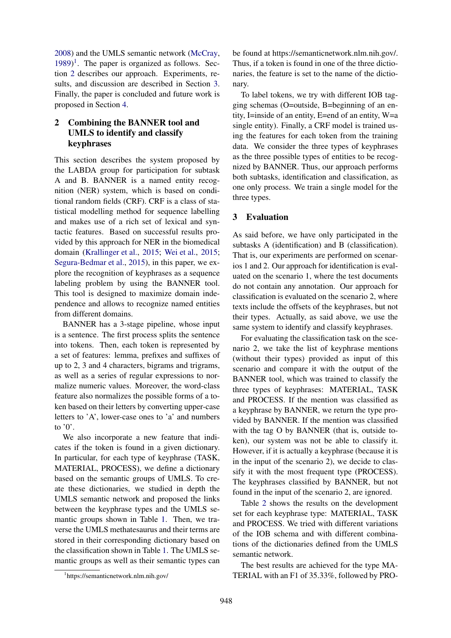2008) and the UMLS semantic network (McCray,  $1989$ <sup>1</sup>. The paper is organized as follows. Section 2 describes our approach. Experiments, results, and discussion are described in Section 3. Finally, the paper is concluded and future work is proposed in Section 4.

### 2 Combining the BANNER tool and UMLS to identify and classify keyphrases

This section describes the system proposed by the LABDA group for participation for subtask A and B. BANNER is a named entity recognition (NER) system, which is based on conditional random fields (CRF). CRF is a class of statistical modelling method for sequence labelling and makes use of a rich set of lexical and syntactic features. Based on successful results provided by this approach for NER in the biomedical domain (Krallinger et al., 2015; Wei et al., 2015; Segura-Bedmar et al., 2015), in this paper, we explore the recognition of keyphrases as a sequence labeling problem by using the BANNER tool. This tool is designed to maximize domain independence and allows to recognize named entities from different domains.

BANNER has a 3-stage pipeline, whose input is a sentence. The first process splits the sentence into tokens. Then, each token is represented by a set of features: lemma, prefixes and suffixes of up to 2, 3 and 4 characters, bigrams and trigrams, as well as a series of regular expressions to normalize numeric values. Moreover, the word-class feature also normalizes the possible forms of a token based on their letters by converting upper-case letters to 'A', lower-case ones to 'a' and numbers to  $'0'$ .

We also incorporate a new feature that indicates if the token is found in a given dictionary. In particular, for each type of keyphrase (TASK, MATERIAL, PROCESS), we define a dictionary based on the semantic groups of UMLS. To create these dictionaries, we studied in depth the UMLS semantic network and proposed the links between the keyphrase types and the UMLS semantic groups shown in Table 1. Then, we traverse the UMLS methatesaurus and their terms are stored in their corresponding dictionary based on the classification shown in Table 1. The UMLS semantic groups as well as their semantic types can be found at https://semanticnetwork.nlm.nih.gov/. Thus, if a token is found in one of the three dictionaries, the feature is set to the name of the dictionary.

To label tokens, we try with different IOB tagging schemas (O=outside, B=beginning of an entity, I=inside of an entity, E=end of an entity, W=a single entity). Finally, a CRF model is trained using the features for each token from the training data. We consider the three types of keyphrases as the three possible types of entities to be recognized by BANNER. Thus, our approach performs both subtasks, identification and classification, as one only process. We train a single model for the three types.

#### 3 Evaluation

As said before, we have only participated in the subtasks A (identification) and B (classification). That is, our experiments are performed on scenarios 1 and 2. Our approach for identification is evaluated on the scenario 1, where the test documents do not contain any annotation. Our approach for classification is evaluated on the scenario 2, where texts include the offsets of the keyphrases, but not their types. Actually, as said above, we use the same system to identify and classify keyphrases.

For evaluating the classification task on the scenario 2, we take the list of keyphrase mentions (without their types) provided as input of this scenario and compare it with the output of the BANNER tool, which was trained to classify the three types of keyphrases: MATERIAL, TASK and PROCESS. If the mention was classified as a keyphrase by BANNER, we return the type provided by BANNER. If the mention was classified with the tag O by BANNER (that is, outside token), our system was not be able to classify it. However, if it is actually a keyphrase (because it is in the input of the scenario 2), we decide to classify it with the most frequent type (PROCESS). The keyphrases classified by BANNER, but not found in the input of the scenario 2, are ignored.

Table 2 shows the results on the development set for each keyphrase type: MATERIAL, TASK and PROCESS. We tried with different variations of the IOB schema and with different combinations of the dictionaries defined from the UMLS semantic network.

The best results are achieved for the type MA-TERIAL with an F1 of 35.33%, followed by PRO-

<sup>1</sup> https://semanticnetwork.nlm.nih.gov/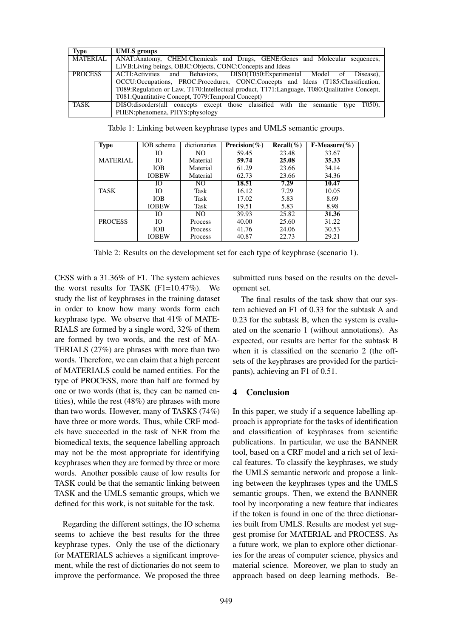| Type            | <b>UMLS</b> groups                                                                              |
|-----------------|-------------------------------------------------------------------------------------------------|
| <b>MATERIAL</b> | ANAT: Anatomy, CHEM: Chemicals and Drugs, GENE: Genes and Molecular sequences,                  |
|                 | LIVB: Living beings, OBJC: Objects, CONC: Concepts and Ideas                                    |
| <b>PROCESS</b>  | ACTI: Activities and Behaviors, DISO(T050: Experimental Model of Disease),                      |
|                 | OCCU:Occupations, PROC:Procedures, CONC:Concepts and Ideas (T185:Classification,                |
|                 | T089: Regulation or Law, T170: Intellectual product, T171: Language, T080: Qualitative Concept, |
|                 | T081:Quantitative Concept, T079:Temporal Concept)                                               |
| TASK            | DISO:disorders(all concepts except those classified with the semantic type T050),               |
|                 | PHEN:phenomena, PHYS:physology                                                                  |

Type IOB schema dictionaries **Precision**(%) Recall(%) F-Measure(%)<br>IO NO 59.45 23.48 33.67 MATERIAL IO | NO | 59.45 | 23.48 | 33.67 IO | Material | 59.74 | 25.08 | 35.33 IOB Material 61.29 23.66 34.14 IOBEW | Material | 62.73 | 23.66 | 34.36 TASK IO | NO | 18.51 | 7.29 | 10.47 IO Task 16.12 7.29 10.05 IOB | Task | 17.02 | 5.83 | 8.69 IOBEW | Task | 19.51 | 5.83 | 8.98 PROCESS  $IO$  | NO | 39.93 | 25.82 | **31.36** IO | Process | 40.00 | 25.60 | 31.22 IOB | Process | 41.76 | 24.06 | 30.53 IOBEW Process 40.87 22.73 29.21

Table 1: Linking between keyphrase types and UMLS semantic groups.

Table 2: Results on the development set for each type of keyphrase (scenario 1).

CESS with a 31.36% of F1. The system achieves the worst results for TASK  $(F1=10.47\%)$ . We study the list of keyphrases in the training dataset in order to know how many words form each keyphrase type. We observe that 41% of MATE-RIALS are formed by a single word, 32% of them are formed by two words, and the rest of MA-TERIALS (27%) are phrases with more than two words. Therefore, we can claim that a high percent of MATERIALS could be named entities. For the type of PROCESS, more than half are formed by one or two words (that is, they can be named entities), while the rest (48%) are phrases with more than two words. However, many of TASKS (74%) have three or more words. Thus, while CRF models have succeeded in the task of NER from the biomedical texts, the sequence labelling approach may not be the most appropriate for identifying keyphrases when they are formed by three or more words. Another possible cause of low results for TASK could be that the semantic linking between TASK and the UMLS semantic groups, which we defined for this work, is not suitable for the task.

Regarding the different settings, the IO schema seems to achieve the best results for the three keyphrase types. Only the use of the dictionary for MATERIALS achieves a significant improvement, while the rest of dictionaries do not seem to improve the performance. We proposed the three

submitted runs based on the results on the development set.

The final results of the task show that our system achieved an F1 of 0.33 for the subtask A and 0.23 for the subtask B, when the system is evaluated on the scenario 1 (without annotations). As expected, our results are better for the subtask B when it is classified on the scenario 2 (the offsets of the keyphrases are provided for the participants), achieving an F1 of 0.51.

#### 4 Conclusion

In this paper, we study if a sequence labelling approach is appropriate for the tasks of identification and classification of keyphrases from scientific publications. In particular, we use the BANNER tool, based on a CRF model and a rich set of lexical features. To classify the keyphrases, we study the UMLS semantic network and propose a linking between the keyphrases types and the UMLS semantic groups. Then, we extend the BANNER tool by incorporating a new feature that indicates if the token is found in one of the three dictionaries built from UMLS. Results are modest yet suggest promise for MATERIAL and PROCESS. As a future work, we plan to explore other dictionaries for the areas of computer science, physics and material science. Moreover, we plan to study an approach based on deep learning methods. Be